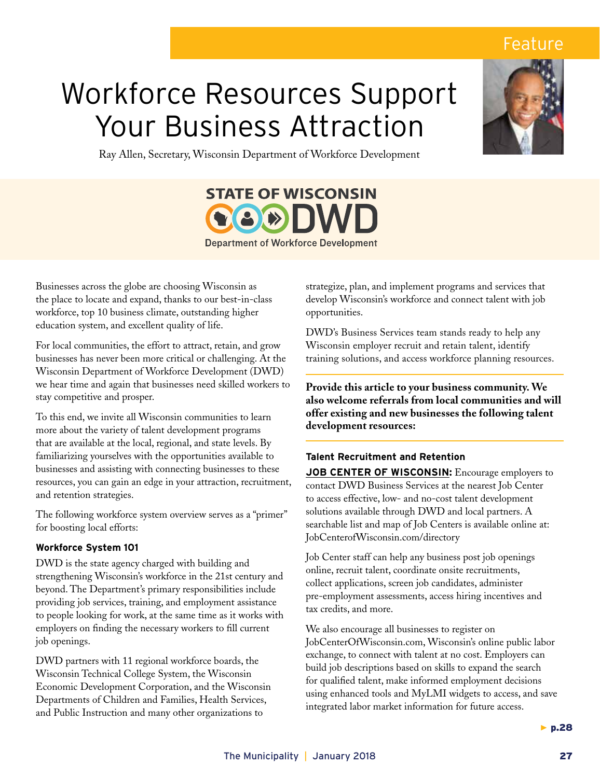## Feature

# Workforce Resources Support Your Business Attraction



Ray Allen, Secretary, Wisconsin Department of Workforce Development



Businesses across the globe are choosing Wisconsin as the place to locate and expand, thanks to our best-in-class workforce, top 10 business climate, outstanding higher education system, and excellent quality of life.

For local communities, the effort to attract, retain, and grow businesses has never been more critical or challenging. At the Wisconsin Department of Workforce Development (DWD) we hear time and again that businesses need skilled workers to stay competitive and prosper.

To this end, we invite all Wisconsin communities to learn more about the variety of talent development programs that are available at the local, regional, and state levels. By familiarizing yourselves with the opportunities available to businesses and assisting with connecting businesses to these resources, you can gain an edge in your attraction, recruitment, and retention strategies.

The following workforce system overview serves as a "primer" for boosting local efforts:

### **Workforce System 101**

DWD is the state agency charged with building and strengthening Wisconsin's workforce in the 21st century and beyond. The Department's primary responsibilities include providing job services, training, and employment assistance to people looking for work, at the same time as it works with employers on finding the necessary workers to fill current job openings.

DWD partners with 11 regional workforce boards, the Wisconsin Technical College System, the Wisconsin Economic Development Corporation, and the Wisconsin Departments of Children and Families, Health Services, and Public Instruction and many other organizations to

strategize, plan, and implement programs and services that develop Wisconsin's workforce and connect talent with job opportunities.

DWD's Business Services team stands ready to help any Wisconsin employer recruit and retain talent, identify training solutions, and access workforce planning resources.

**Provide this article to your business community. We also welcome referrals from local communities and will offer existing and new businesses the following talent development resources:**

### **Talent Recruitment and Retention**

**JOB CENTER OF WISCONSIN:** Encourage employers to contact DWD Business Services at the nearest Job Center to access effective, low- and no-cost talent development solutions available through DWD and local partners. A searchable list and map of Job Centers is available online at: JobCenterofWisconsin.com/directory

Job Center staff can help any business post job openings online, recruit talent, coordinate onsite recruitments, collect applications, screen job candidates, administer pre-employment assessments, access hiring incentives and tax credits, and more.

We also encourage all businesses to register on JobCenterOfWisconsin.com, Wisconsin's online public labor exchange, to connect with talent at no cost. Employers can build job descriptions based on skills to expand the search for qualified talent, make informed employment decisions using enhanced tools and MyLMI widgets to access, and save integrated labor market information for future access.

 $\blacktriangleright$  p.28